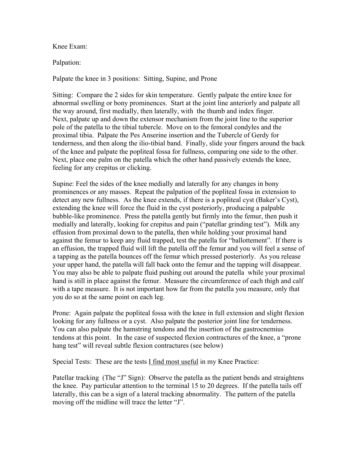Knee Exam:

Palpation:

Palpate the knee in 3 positions: Sitting, Supine, and Prone

Sitting: Compare the 2 sides for skin temperature. Gently palpate the entire knee for abnormal swelling or bony prominences. Start at the joint line anteriorly and palpate all the way around, first medially, then laterally, with the thumb and index finger. Next, palpate up and down the extensor mechanism from the joint line to the superior pole of the patella to the tibial tubercle. Move on to the femoral condyles and the proximal tibia. Palpate the Pes Anserine insertion and the Tubercle of Gerdy for tenderness, and then along the ilio-tibial band. Finally, slide your fingers around the back of the knee and palpate the popliteal fossa for fullness, comparing one side to the other. Next, place one palm on the patella which the other hand passively extends the knee, feeling for any crepitus or clicking.

Supine: Feel the sides of the knee medially and laterally for any changes in bony prominences or any masses. Repeat the palpation of the popliteal fossa in extension to detect any new fullness. As the knee extends, if there is a popliteal cyst (Baker's Cyst), extending the knee will force the fluid in the cyst posteriorly, producing a palpable bubble-like prominence. Press the patella gently but firmly into the femur, then push it medially and laterally, looking for crepitus and pain ("patellar grinding test"). Milk any effusion from proximal down to the patella, then while holding your proximal hand against the femur to keep any fluid trapped, test the patella for "ballottement". If there is an effusion, the trapped fluid will lift the patella off the femur and you will feel a sense of a tapping as the patella bounces off the femur which pressed posteriorly. As you release your upper hand, the patella will fall back onto the femur and the tapping will disappear. You may also be able to palpate fluid pushing out around the patella while your proximal hand is still in place against the femur. Measure the circumference of each thigh and calf with a tape measure. It is not important how far from the patella you measure, only that you do so at the same point on each leg.

Prone: Again palpate the popliteal fossa with the knee in full extension and slight flexion looking for any fullness or a cyst. Also palpate the posterior joint line for tenderness. You can also palpate the hamstring tendons and the insertion of the gastrocnemius tendons at this point. In the case of suspected flexion contractures of the knee, a "prone hang test" will reveal subtle flexion contractures (see below)

Special Tests: These are the tests I find most useful in my Knee Practice:

Patellar tracking (The "J" Sign): Observe the patella as the patient bends and straightens the knee. Pay particular attention to the terminal 15 to 20 degrees. If the patella tails off laterally, this can be a sign of a lateral tracking abnormality. The pattern of the patella moving off the midline will trace the letter "J".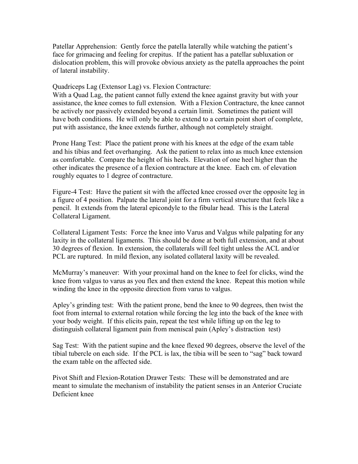Patellar Apprehension: Gently force the patella laterally while watching the patient's face for grimacing and feeling for crepitus. If the patient has a patellar subluxation or dislocation problem, this will provoke obvious anxiety as the patella approaches the point of lateral instability.

Quadriceps Lag (Extensor Lag) vs. Flexion Contracture:

With a Quad Lag, the patient cannot fully extend the knee against gravity but with your assistance, the knee comes to full extension. With a Flexion Contracture, the knee cannot be actively nor passively extended beyond a certain limit. Sometimes the patient will have both conditions. He will only be able to extend to a certain point short of complete, put with assistance, the knee extends further, although not completely straight.

Prone Hang Test: Place the patient prone with his knees at the edge of the exam table and his tibias and feet overhanging. Ask the patient to relax into as much knee extension as comfortable. Compare the height of his heels. Elevation of one heel higher than the other indicates the presence of a flexion contracture at the knee. Each cm. of elevation roughly equates to 1 degree of contracture.

Figure-4 Test: Have the patient sit with the affected knee crossed over the opposite leg in a figure of 4 position. Palpate the lateral joint for a firm vertical structure that feels like a pencil. It extends from the lateral epicondyle to the fibular head. This is the Lateral Collateral Ligament.

Collateral Ligament Tests: Force the knee into Varus and Valgus while palpating for any laxity in the collateral ligaments. This should be done at both full extension, and at about 30 degrees of flexion. In extension, the collaterals will feel tight unless the ACL and/or PCL are ruptured. In mild flexion, any isolated collateral laxity will be revealed.

McMurray's maneuver: With your proximal hand on the knee to feel for clicks, wind the knee from valgus to varus as you flex and then extend the knee. Repeat this motion while winding the knee in the opposite direction from varus to valgus.

Apley's grinding test: With the patient prone, bend the knee to 90 degrees, then twist the foot from internal to external rotation while forcing the leg into the back of the knee with your body weight. If this elicits pain, repeat the test while lifting up on the leg to distinguish collateral ligament pain from meniscal pain (Apley's distraction test)

Sag Test: With the patient supine and the knee flexed 90 degrees, observe the level of the tibial tubercle on each side. If the PCL is lax, the tibia will be seen to "sag" back toward the exam table on the affected side.

Pivot Shift and Flexion-Rotation Drawer Tests: These will be demonstrated and are meant to simulate the mechanism of instability the patient senses in an Anterior Cruciate Deficient knee